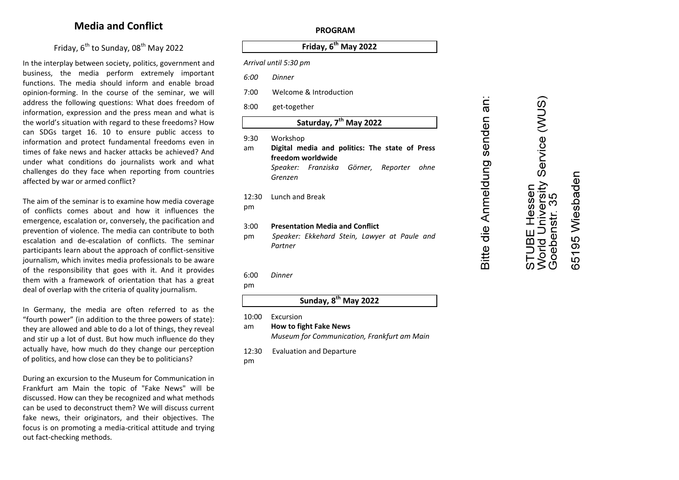# **Media and Conflict**

# Friday, 6<sup>th</sup> to Sunday, 08<sup>th</sup> May 2022

In the interplay between society, politics, government and business, the media perform extremely important functions. The media should inform and enable broad opinion-forming. In the course of the seminar, we will address the following questions: What does freedom of information, expression and the press mean and what is the world's situation with regard to these freedoms? How can SDGs target 16. 10 to ensure public access to information and protect fundamental freedoms even in times of fake news and hacker attacks be achieved? And under what conditions do journalists work and what challenges do they face when reporting from countries affected by war or armed conflict?

The aim of the seminar is to examine how media coverage of conflicts comes about and how it influences the emergence, escalation or, conversely, the pacification and prevention of violence. The media can contribute to both escalation and de-escalation of conflicts. The seminar participants learn about the approach of conflict-sensitive journalism, which invites media professionals to be aware of the responsibility that goes with it. And it provides them with a framework of orientation that has a great deal of overlap with the criteria of quality journalism.

In Germany, the media are often referred to as the "fourth power" (in addition to the three powers of state): they are allowed and able to do a lot of things, they reveal and stir up a lot of dust. But how much influence do they actually have, how much do they change our perception of politics, and how close can they be to politicians?

During an excursion to the Museum for Communication in Frankfurt am Main the topic of "Fake News" will be discussed. How can they be recognized and what methods can be used to deconstruct them? We will discuss current fake news, their originators, and their objectives. The focus is on promoting a media-critical attitude and trying out fact-checking methods.

#### **PROGRAM**

# **Friday, 6 th May 2022**

*Arrival until 5:30 pm*

*6:00 Dinner* 

- 7:00 Welcome & Introduction
- 8:00 get-together

# **Saturday, 7 th May 2022**

- 9:30 Workshop
- am **Digital media and politics: The state of Press freedom worldwide** *Speaker: Franziska Görner, Reporter ohne Grenzen*
- 12:30 Lunch and Break pm

#### 3:00 **Presentation Media and Conflict**

pm *Speaker: Ekkehard Stein, Lawyer at Paule and Partner*

#### 6:00 *Dinner*

pm

# **Sunday, 8 th May 2022**

10:00 Excursion

## am **How to fight Fake News**

*Museum for Communication, Frankfurt am Main*

- 12:30 Evaluation and Departure
- pm

# Service (WUS) 5195 Wiesbaden World University<br>Goebenstr. 35 STUBE Hessen World  $\omega$

an:

senden

Bitte die Anmeldung